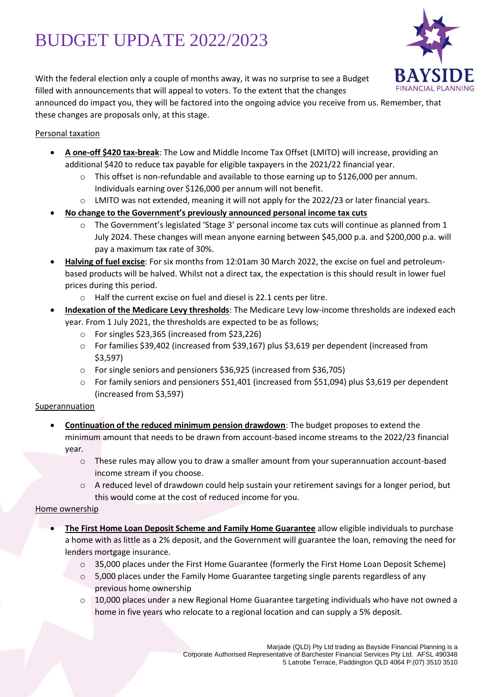# BUDGET UPDATE 2022/2023



With the federal election only a couple of months away, it was no surprise to see a Budget filled with announcements that will appeal to voters. To the extent that the changes

announced do impact you, they will be factored into the ongoing advice you receive from us. Remember, that these changes are proposals only, at this stage.

## Personal taxation

- **A one-off \$420 tax-break**: The Low and Middle Income Tax Offset (LMITO) will increase, providing an additional \$420 to reduce tax payable for eligible taxpayers in the 2021/22 financial year.
	- $\circ$  This offset is non-refundable and available to those earning up to \$126,000 per annum. Individuals earning over \$126,000 per annum will not benefit.
	- o LMITO was not extended, meaning it will not apply for the 2022/23 or later financial years.
- **No change to the Government's previously announced personal income tax cuts**
	- $\circ$  The Government's legislated 'Stage 3' personal income tax cuts will continue as planned from 1 July 2024. These changes will mean anyone earning between \$45,000 p.a. and \$200,000 p.a. will pay a maximum tax rate of 30%.
- **Halving of fuel excise**: For six months from 12:01am 30 March 2022, the excise on fuel and petroleumbased products will be halved. Whilst not a direct tax, the expectation is this should result in lower fuel prices during this period.
	- o Half the current excise on fuel and diesel is 22.1 cents per litre.
- **Indexation of the Medicare Levy thresholds**: The Medicare Levy low-income thresholds are indexed each year. From 1 July 2021, the thresholds are expected to be as follows;
	- o For singles \$23,365 (increased from \$23,226)
	- o For families \$39,402 (increased from \$39,167) plus \$3,619 per dependent (increased from \$3,597)
	- o For single seniors and pensioners \$36,925 (increased from \$36,705)
	- o For family seniors and pensioners \$51,401 (increased from \$51,094) plus \$3,619 per dependent (increased from \$3,597)

## Superannuation

- **Continuation of the reduced minimum pension drawdown**: The budget proposes to extend the minimum amount that needs to be drawn from account-based income streams to the 2022/23 financial year.
	- o These rules may allow you to draw a smaller amount from your superannuation account-based income stream if you choose.
	- $\circ$  A reduced level of drawdown could help sustain your retirement savings for a longer period, but this would come at the cost of reduced income for you.

#### Home ownership

- **The First Home Loan Deposit Scheme and Family Home Guarantee** allow eligible individuals to purchase a home with as little as a 2% deposit, and the Government will guarantee the loan, removing the need for lenders mortgage insurance.
	- o 35,000 places under the First Home Guarantee (formerly the First Home Loan Deposit Scheme)
	- $\circ$  5,000 places under the Family Home Guarantee targeting single parents regardless of any previous home ownership
	- o 10,000 places under a new Regional Home Guarantee targeting individuals who have not owned a home in five years who relocate to a regional location and can supply a 5% deposit.